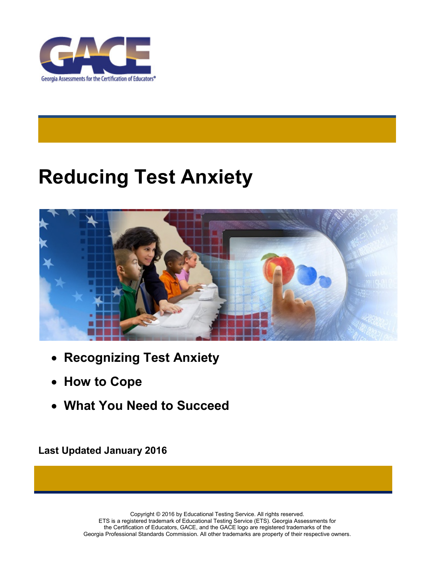

# **Reducing Test Anxiety**



- **Recognizing Test Anxiety**
- **How to Cope**
- **What You Need to Succeed**

**Last Updated January 2016**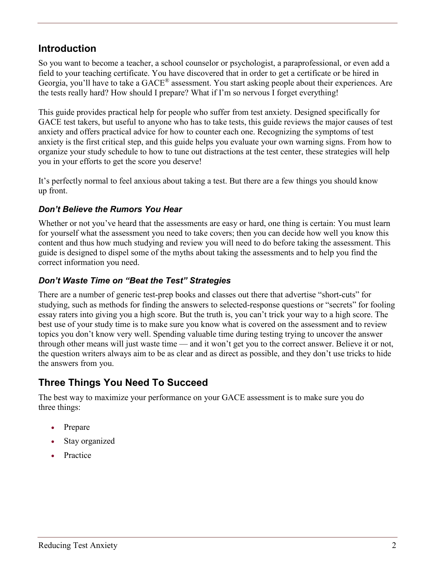# **Introduction**

So you want to become a teacher, a school counselor or psychologist, a paraprofessional, or even add a field to your teaching certificate. You have discovered that in order to get a certificate or be hired in Georgia, you'll have to take a GACE® assessment. You start asking people about their experiences. Are the tests really hard? How should I prepare? What if I'm so nervous I forget everything!

This guide provides practical help for people who suffer from test anxiety. Designed specifically for GACE test takers, but useful to anyone who has to take tests, this guide reviews the major causes of test anxiety and offers practical advice for how to counter each one. Recognizing the symptoms of test anxiety is the first critical step, and this guide helps you evaluate your own warning signs. From how to organize your study schedule to how to tune out distractions at the test center, these strategies will help you in your efforts to get the score you deserve!

It's perfectly normal to feel anxious about taking a test. But there are a few things you should know up front.

#### *Don't Believe the Rumors You Hear*

Whether or not you've heard that the assessments are easy or hard, one thing is certain: You must learn for yourself what the assessment you need to take covers; then you can decide how well you know this content and thus how much studying and review you will need to do before taking the assessment. This guide is designed to dispel some of the myths about taking the assessments and to help you find the correct information you need.

#### *Don't Waste Time on "Beat the Test" Strategies*

There are a number of generic test-prep books and classes out there that advertise "short-cuts" for studying, such as methods for finding the answers to selected-response questions or "secrets" for fooling essay raters into giving you a high score. But the truth is, you can't trick your way to a high score. The best use of your study time is to make sure you know what is covered on the assessment and to review topics you don't know very well. Spending valuable time during testing trying to uncover the answer through other means will just waste time — and it won't get you to the correct answer. Believe it or not, the question writers always aim to be as clear and as direct as possible, and they don't use tricks to hide the answers from you.

# **Three Things You Need To Succeed**

The best way to maximize your performance on your GACE assessment is to make sure you do three things:

- Prepare
- Stay organized
- **Practice**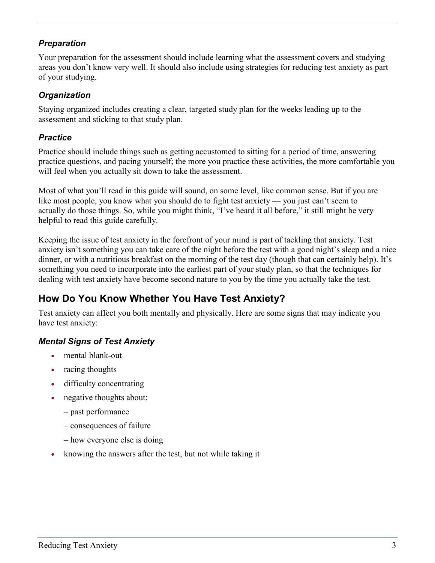#### *Preparation*

Your preparation for the assessment should include learning what the assessment covers and studying areas you don't know very well. It should also include using strategies for reducing test anxiety as part of your studying.

#### *Organization*

Staying organized includes creating a clear, targeted study plan for the weeks leading up to the assessment and sticking to that study plan.

#### *Practice*

Practice should include things such as getting accustomed to sitting for a period of time, answering practice questions, and pacing yourself; the more you practice these activities, the more comfortable you will feel when you actually sit down to take the assessment.

Most of what you'll read in this guide will sound, on some level, like common sense. But if you are like most people, you know what you should do to fight test anxiety — you just can't seem to actually do those things. So, while you might think, "I've heard it all before," it still might be very helpful to read this guide carefully.

Keeping the issue of test anxiety in the forefront of your mind is part of tackling that anxiety. Test anxiety isn't something you can take care of the night before the test with a good night's sleep and a nice dinner, or with a nutritious breakfast on the morning of the test day (though that can certainly help). It's something you need to incorporate into the earliest part of your study plan, so that the techniques for dealing with test anxiety have become second nature to you by the time you actually take the test.

# **How Do You Know Whether You Have Test Anxiety?**

Test anxiety can affect you both mentally and physically. Here are some signs that may indicate you have test anxiety:

### *Mental Signs of Test Anxiety*

- mental blank-out
- racing thoughts
- difficulty concentrating
- negative thoughts about:
	- past performance
	- consequences of failure
	- how everyone else is doing
- knowing the answers after the test, but not while taking it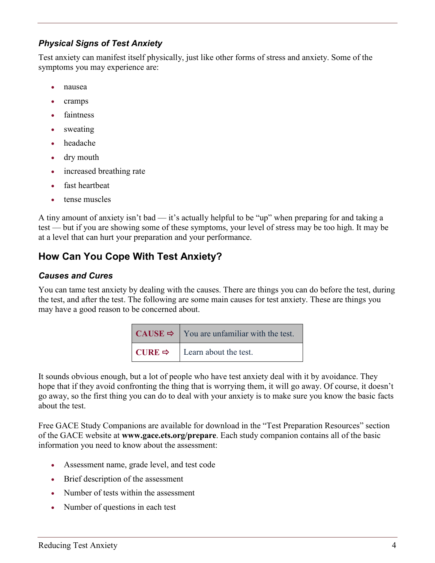#### *Physical Signs of Test Anxiety*

Test anxiety can manifest itself physically, just like other forms of stress and anxiety. Some of the symptoms you may experience are:

- nausea
- cramps
- faintness
- sweating
- headache
- dry mouth
- increased breathing rate
- fast heartheat
- tense muscles

A tiny amount of anxiety isn't bad — it's actually helpful to be "up" when preparing for and taking a test — but if you are showing some of these symptoms, your level of stress may be too high. It may be at a level that can hurt your preparation and your performance.

# **How Can You Cope With Test Anxiety?**

#### *Causes and Cures*

You can tame test anxiety by dealing with the causes. There are things you can do before the test, during the test, and after the test. The following are some main causes for test anxiety. These are things you may have a good reason to be concerned about.

| <b>CAUSE</b> $\Rightarrow$ You are unfamiliar with the test. |
|--------------------------------------------------------------|
| <b>CURE</b> $\Rightarrow$ <b>Learn about the test.</b>       |

It sounds obvious enough, but a lot of people who have test anxiety deal with it by avoidance. They hope that if they avoid confronting the thing that is worrying them, it will go away. Of course, it doesn't go away, so the first thing you can do to deal with your anxiety is to make sure you know the basic facts about the test.

Free GACE Study Companions are available for download in the "Test Preparation Resources" section of the GACE website at **[www.gace.ets.org/prepare](http://www.gace.ets.org/prepare)**. Each study companion contains all of the basic information you need to know about the assessment:

- Assessment name, grade level, and test code
- Brief description of the assessment
- Number of tests within the assessment
- Number of questions in each test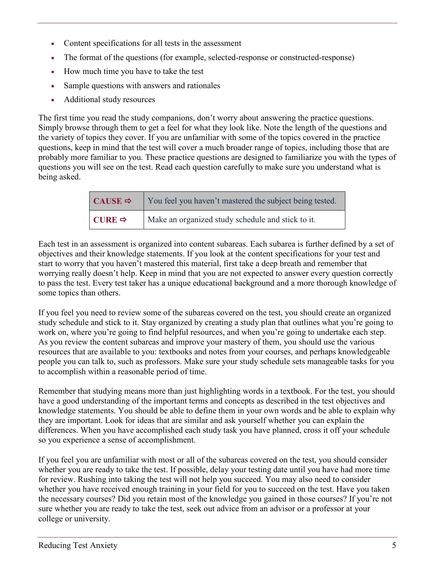- Content specifications for all tests in the assessment
- The format of the questions (for example, selected-response or constructed-response)
- How much time you have to take the test
- Sample questions with answers and rationales
- Additional study resources

The first time you read the study companions, don't worry about answering the practice questions. Simply browse through them to get a feel for what they look like. Note the length of the questions and the variety of topics they cover. If you are unfamiliar with some of the topics covered in the practice questions, keep in mind that the test will cover a much broader range of topics, including those that are probably more familiar to you. These practice questions are designed to familiarize you with the types of questions you will see on the test. Read each question carefully to make sure you understand what is being asked.

| $\mathsf{CAUSE} \Rightarrow$ | You feel you haven't mastered the subject being tested. |
|------------------------------|---------------------------------------------------------|
| $CURE \Rightarrow$           | Make an organized study schedule and stick to it.       |

Each test in an assessment is organized into content subareas. Each subarea is further defined by a set of objectives and their knowledge statements. If you look at the content specifications for your test and start to worry that you haven't mastered this material, first take a deep breath and remember that worrying really doesn't help. Keep in mind that you are not expected to answer every question correctly to pass the test. Every test taker has a unique educational background and a more thorough knowledge of some topics than others.

If you feel you need to review some of the subareas covered on the test, you should create an organized study schedule and stick to it. Stay organized by creating a study plan that outlines what you're going to work on, where you're going to find helpful resources, and when you're going to undertake each step. As you review the content subareas and improve your mastery of them, you should use the various resources that are available to you: textbooks and notes from your courses, and perhaps knowledgeable people you can talk to, such as professors. Make sure your study schedule sets manageable tasks for you to accomplish within a reasonable period of time.

Remember that studying means more than just highlighting words in a textbook. For the test, you should have a good understanding of the important terms and concepts as described in the test objectives and knowledge statements. You should be able to define them in your own words and be able to explain why they are important. Look for ideas that are similar and ask yourself whether you can explain the differences. When you have accomplished each study task you have planned, cross it off your schedule so you experience a sense of accomplishment.

If you feel you are unfamiliar with most or all of the subareas covered on the test, you should consider whether you are ready to take the test. If possible, delay your testing date until you have had more time for review. Rushing into taking the test will not help you succeed. You may also need to consider whether you have received enough training in your field for you to succeed on the test. Have you taken the necessary courses? Did you retain most of the knowledge you gained in those courses? If you're not sure whether you are ready to take the test, seek out advice from an advisor or a professor at your college or university.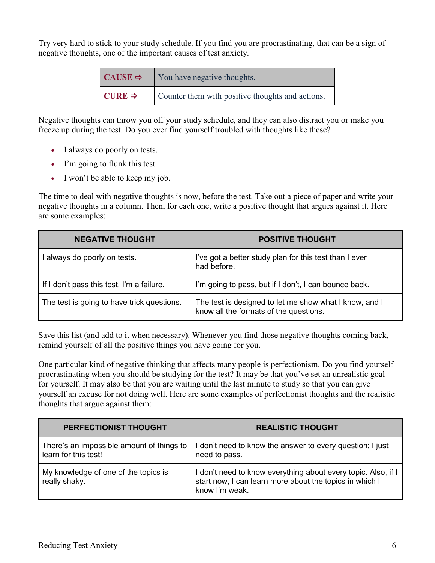Try very hard to stick to your study schedule. If you find you are procrastinating, that can be a sign of negative thoughts, one of the important causes of test anxiety.

| $\mathsf{CAUSE} \Rightarrow$ | You have negative thoughts.                      |
|------------------------------|--------------------------------------------------|
| $\vert$ CURE $\Rightarrow$   | Counter them with positive thoughts and actions. |

Negative thoughts can throw you off your study schedule, and they can also distract you or make you freeze up during the test. Do you ever find yourself troubled with thoughts like these?

- I always do poorly on tests.
- I'm going to flunk this test.
- I won't be able to keep my job.

The time to deal with negative thoughts is now, before the test. Take out a piece of paper and write your negative thoughts in a column. Then, for each one, write a positive thought that argues against it. Here are some examples:

| <b>NEGATIVE THOUGHT</b>                    | <b>POSITIVE THOUGHT</b>                                                                          |
|--------------------------------------------|--------------------------------------------------------------------------------------------------|
| I always do poorly on tests.               | I've got a better study plan for this test than I ever<br>had before.                            |
| If I don't pass this test, I'm a failure.  | I'm going to pass, but if I don't, I can bounce back.                                            |
| The test is going to have trick questions. | The test is designed to let me show what I know, and I<br>know all the formats of the questions. |

Save this list (and add to it when necessary). Whenever you find those negative thoughts coming back, remind yourself of all the positive things you have going for you.

One particular kind of negative thinking that affects many people is perfectionism. Do you find yourself procrastinating when you should be studying for the test? It may be that you've set an unrealistic goal for yourself. It may also be that you are waiting until the last minute to study so that you can give yourself an excuse for not doing well. Here are some examples of perfectionist thoughts and the realistic thoughts that argue against them:

| PERFECTIONIST THOUGHT                                             | <b>REALISTIC THOUGHT</b>                                                                                                                 |
|-------------------------------------------------------------------|------------------------------------------------------------------------------------------------------------------------------------------|
| There's an impossible amount of things to<br>learn for this test! | don't need to know the answer to every question; I just<br>need to pass.                                                                 |
| My knowledge of one of the topics is<br>really shaky.             | don't need to know everything about every topic. Also, if I<br>start now, I can learn more about the topics in which I<br>know I'm weak. |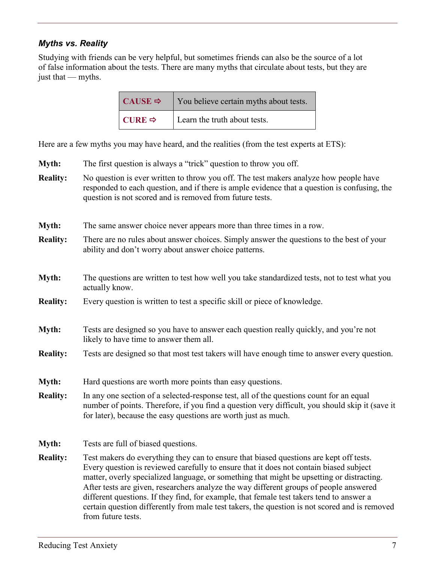#### *Myths vs. Reality*

Studying with friends can be very helpful, but sometimes friends can also be the source of a lot of false information about the tests. There are many myths that circulate about tests, but they are just that — myths.

| CAUSE $\Rightarrow$ | You believe certain myths about tests. |
|---------------------|----------------------------------------|
| CURE $\Rightarrow$  | Learn the truth about tests.           |

Here are a few myths you may have heard, and the realities (from the test experts at ETS):

- **Myth:** The first question is always a "trick" question to throw you off.
- **Reality:** No question is ever written to throw you off. The test makers analyze how people have responded to each question, and if there is ample evidence that a question is confusing, the question is not scored and is removed from future tests.
- **Myth:** The same answer choice never appears more than three times in a row.
- **Reality:** There are no rules about answer choices. Simply answer the questions to the best of your ability and don't worry about answer choice patterns.
- **Myth:** The questions are written to test how well you take standardized tests, not to test what you actually know.
- **Reality:** Every question is written to test a specific skill or piece of knowledge.
- **Myth:** Tests are designed so you have to answer each question really quickly, and you're not likely to have time to answer them all.
- **Reality:** Tests are designed so that most test takers will have enough time to answer every question.
- **Myth:** Hard questions are worth more points than easy questions.
- **Reality:** In any one section of a selected-response test, all of the questions count for an equal number of points. Therefore, if you find a question very difficult, you should skip it (save it for later), because the easy questions are worth just as much.
- **Myth:** Tests are full of biased questions.
- **Reality:** Test makers do everything they can to ensure that biased questions are kept off tests. Every question is reviewed carefully to ensure that it does not contain biased subject matter, overly specialized language, or something that might be upsetting or distracting. After tests are given, researchers analyze the way different groups of people answered different questions. If they find, for example, that female test takers tend to answer a certain question differently from male test takers, the question is not scored and is removed from future tests.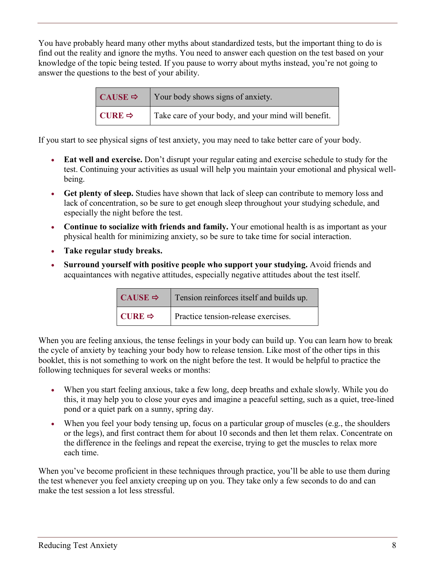You have probably heard many other myths about standardized tests, but the important thing to do is find out the reality and ignore the myths. You need to answer each question on the test based on your knowledge of the topic being tested. If you pause to worry about myths instead, you're not going to answer the questions to the best of your ability.

| $CAUSE \Rightarrow$ | Your body shows signs of anxiety.                   |
|---------------------|-----------------------------------------------------|
| CURE $\Rightarrow$  | Take care of your body, and your mind will benefit. |

If you start to see physical signs of test anxiety, you may need to take better care of your body.

- **Eat well and exercise.** Don't disrupt your regular eating and exercise schedule to study for the test. Continuing your activities as usual will help you maintain your emotional and physical wellbeing.
- **Get plenty of sleep.** Studies have shown that lack of sleep can contribute to memory loss and lack of concentration, so be sure to get enough sleep throughout your studying schedule, and especially the night before the test.
- **Continue to socialize with friends and family.** Your emotional health is as important as your physical health for minimizing anxiety, so be sure to take time for social interaction.
- **Take regular study breaks.**
- **Surround yourself with positive people who support your studying.** Avoid friends and acquaintances with negative attitudes, especially negative attitudes about the test itself.

| CAUSE $\Rightarrow$ | Tension reinforces itself and builds up. |
|---------------------|------------------------------------------|
| CURE $\Rightarrow$  | Practice tension-release exercises.      |

When you are feeling anxious, the tense feelings in your body can build up. You can learn how to break the cycle of anxiety by teaching your body how to release tension. Like most of the other tips in this booklet, this is not something to work on the night before the test. It would be helpful to practice the following techniques for several weeks or months:

- When you start feeling anxious, take a few long, deep breaths and exhale slowly. While you do this, it may help you to close your eyes and imagine a peaceful setting, such as a quiet, tree-lined pond or a quiet park on a sunny, spring day.
- When you feel your body tensing up, focus on a particular group of muscles (e.g., the shoulders or the legs), and first contract them for about 10 seconds and then let them relax. Concentrate on the difference in the feelings and repeat the exercise, trying to get the muscles to relax more each time.

When you've become proficient in these techniques through practice, you'll be able to use them during the test whenever you feel anxiety creeping up on you. They take only a few seconds to do and can make the test session a lot less stressful.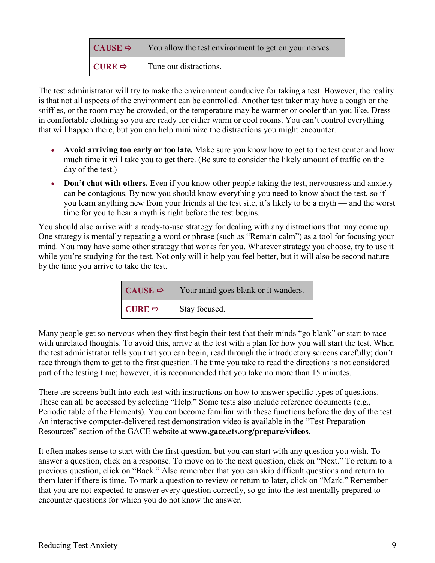| $CAUSE \Rightarrow$ | You allow the test environment to get on your nerves. |
|---------------------|-------------------------------------------------------|
| CURE $\Rightarrow$  | Tune out distractions.                                |

The test administrator will try to make the environment conducive for taking a test. However, the reality is that not all aspects of the environment can be controlled. Another test taker may have a cough or the sniffles, or the room may be crowded, or the temperature may be warmer or cooler than you like. Dress in comfortable clothing so you are ready for either warm or cool rooms. You can't control everything that will happen there, but you can help minimize the distractions you might encounter.

- **Avoid arriving too early or too late.** Make sure you know how to get to the test center and how much time it will take you to get there. (Be sure to consider the likely amount of traffic on the day of the test.)
- **Don't chat with others.** Even if you know other people taking the test, nervousness and anxiety can be contagious. By now you should know everything you need to know about the test, so if you learn anything new from your friends at the test site, it's likely to be a myth — and the worst time for you to hear a myth is right before the test begins.

You should also arrive with a ready-to-use strategy for dealing with any distractions that may come up. One strategy is mentally repeating a word or phrase (such as "Remain calm") as a tool for focusing your mind. You may have some other strategy that works for you. Whatever strategy you choose, try to use it while you're studying for the test. Not only will it help you feel better, but it will also be second nature by the time you arrive to take the test.

| CAUSE $\Rightarrow$ | Your mind goes blank or it wanders. |
|---------------------|-------------------------------------|
| CURE $\Rightarrow$  | Stay focused.                       |

Many people get so nervous when they first begin their test that their minds "go blank" or start to race with unrelated thoughts. To avoid this, arrive at the test with a plan for how you will start the test. When the test administrator tells you that you can begin, read through the introductory screens carefully; don't race through them to get to the first question. The time you take to read the directions is not considered part of the testing time; however, it is recommended that you take no more than 15 minutes.

There are screens built into each test with instructions on how to answer specific types of questions. These can all be accessed by selecting "Help." Some tests also include reference documents (e.g., Periodic table of the Elements). You can become familiar with these functions before the day of the test. An interactive computer-delivered test demonstration video is available in the "Test Preparation Resources" section of the GACE website at **[www.gace.ets.org/prepare/videos](http://www.gace.ets.org/prepare/videos)**.

It often makes sense to start with the first question, but you can start with any question you wish. To answer a question, click on a response. To move on to the next question, click on "Next." To return to a previous question, click on "Back." Also remember that you can skip difficult questions and return to them later if there is time. To mark a question to review or return to later, click on "Mark." Remember that you are not expected to answer every question correctly, so go into the test mentally prepared to encounter questions for which you do not know the answer.